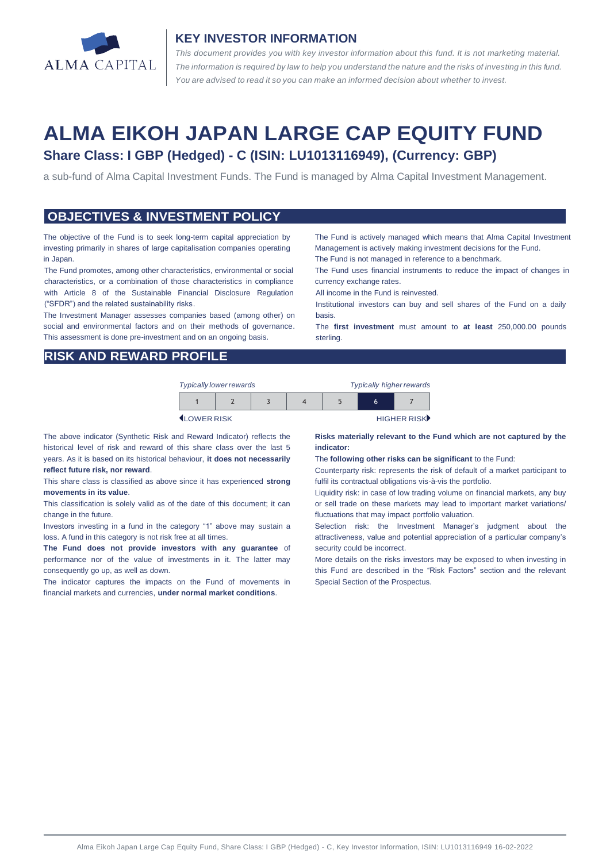

#### **KEY INVESTOR INFORMATION**

*This document provides you with key investor information about this fund. It is not marketing material.*  The information is required by law to help you understand the nature and the risks of investing in this fund. *You are advised to read it so you can make an informed decision about whether to invest.*

# **ALMA EIKOH JAPAN LARGE CAP EQUITY FUND Share Class: I GBP (Hedged) - C (ISIN: LU1013116949), (Currency: GBP)**

a sub-fund of Alma Capital Investment Funds. The Fund is managed by Alma Capital Investment Management.

#### **OBJECTIVES & INVESTMENT POLICY**

The objective of the Fund is to seek long-term capital appreciation by investing primarily in shares of large capitalisation companies operating in Japan.

The Fund promotes, among other characteristics, environmental or social characteristics, or a combination of those characteristics in compliance with Article 8 of the Sustainable Financial Disclosure Regulation ("SFDR") and the related sustainability risks.

The Investment Manager assesses companies based (among other) on social and environmental factors and on their methods of governance. This assessment is done pre-investment and on an ongoing basis.

The Fund is actively managed which means that Alma Capital Investment Management is actively making investment decisions for the Fund.

The Fund is not managed in reference to a benchmark.

The Fund uses financial instruments to reduce the impact of changes in currency exchange rates.

All income in the Fund is reinvested.

Institutional investors can buy and sell shares of the Fund on a daily basis.

The **first investment** must amount to **at least** 250,000.00 pounds sterling.

### **RISK AND REWARD PROFILE**

| <b>Typically lower rewards</b> |  | <b>Typically higher rewards</b> |  |  |  |
|--------------------------------|--|---------------------------------|--|--|--|
|                                |  |                                 |  |  |  |

**ILOWER RISK HIGHER RISK** 

The above indicator (Synthetic Risk and Reward Indicator) reflects the historical level of risk and reward of this share class over the last 5 years. As it is based on its historical behaviour, **it does not necessarily reflect future risk, nor reward**.

This share class is classified as above since it has experienced **strong movements in its value**.

This classification is solely valid as of the date of this document; it can change in the future.

Investors investing in a fund in the category "1" above may sustain a loss. A fund in this category is not risk free at all times.

**The Fund does not provide investors with any guarantee** of performance nor of the value of investments in it. The latter may consequently go up, as well as down.

The indicator captures the impacts on the Fund of movements in financial markets and currencies, **under normal market conditions**.

#### **Risks materially relevant to the Fund which are not captured by the indicator:**

The **following other risks can be significant** to the Fund:

Counterparty risk: represents the risk of default of a market participant to fulfil its contractual obligations vis-à-vis the portfolio.

Liquidity risk: in case of low trading volume on financial markets, any buy or sell trade on these markets may lead to important market variations/ fluctuations that may impact portfolio valuation.

Selection risk: the Investment Manager's judgment about the attractiveness, value and potential appreciation of a particular company's security could be incorrect.

More details on the risks investors may be exposed to when investing in this Fund are described in the "Risk Factors" section and the relevant Special Section of the Prospectus.